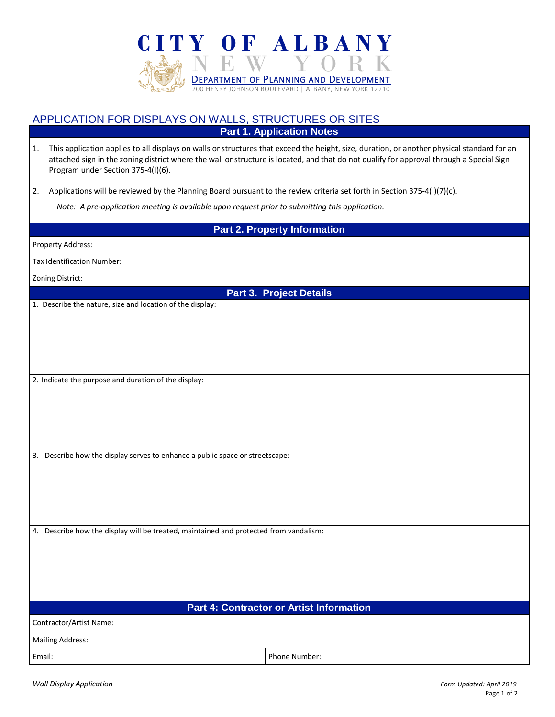

## APPLICATION FOR DISPLAYS ON WALLS, STRUCTURES OR SITES **Part 1. Application Notes**

1. This application applies to all displays on walls or structures that exceed the height, size, duration, or another physical standard for an attached sign in the zoning district where the wall or structure is located, and that do not qualify for approval through a Special Sign Program under Section 375-4(I)(6).

2. Applications will be reviewed by the Planning Board pursuant to the review criteria set forth in Section 375-4(I)(7)(c).

 *Note: A pre-application meeting is available upon request prior to submitting this application.*

**Part 2. Property Information**

Property Address:

Tax Identification Number:

Zoning District:

**Part 3. Project Details**

1. Describe the nature, size and location of the display:

2. Indicate the purpose and duration of the display:

3. Describe how the display serves to enhance a public space or streetscape:

4. Describe how the display will be treated, maintained and protected from vandalism:

**Part 4: Contractor or Artist Information**

Contractor/Artist Name:

Mailing Address:

Email: Phone Number: